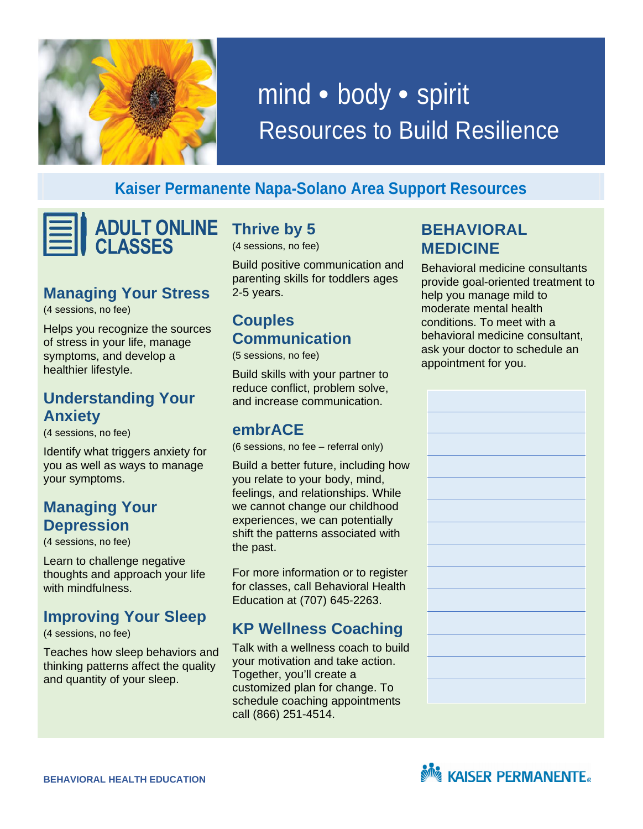

# mind • body • spirit Resources to Build Resilience

#### **Kaiser Permanente Napa-Solano Area Support Resources**

**ADULT ONLINE CLASSES** 

#### **Managing Your Stress**

(4 sessions, no fee)

 Helps you recognize the sources of stress in your life, manage symptoms, and develop a healthier lifestyle.

#### **Understanding Your Anxiety**

(4 sessions, no fee)

 Identify what triggers anxiety for you as well as ways to manage your symptoms.

#### **Depression Managing Your**

(4 sessions, no fee)

 thoughts and approach your life Learn to challenge negative with mindfulness.

#### **Improving Your Sleep**

(4 sessions, no fee)

 Teaches how sleep behaviors and thinking patterns affect the quality and quantity of your sleep.

 **Thrive by 5** 

(4 sessions, no fee)

 Build positive communication and parenting skills for toddlers ages 2-5 years.

## **Couples Communication**

(5 sessions, no fee)

 Build skills with your partner to reduce conflict, problem solve, and increase communication.

#### **embrACE**

(6 sessions, no fee – referral only)

 Build a better future, including how you relate to your body, mind, feelings, and relationships. While we cannot change our childhood experiences, we can potentially shift the patterns associated with the past.

 For more information or to register for classes, call Behavioral Health Education at (707) 645-2263.

## **KP Wellness Coaching**

 Talk with a wellness coach to build your motivation and take action. Together, you'll create a customized plan for change. To call (866) 251-4514. schedule coaching appointments

#### **BEHAVIORAL MEDICINE**

 Behavioral medicine consultants provide goal-oriented treatment to help you manage mild to moderate mental health conditions. To meet with a ask your doctor to schedule an appointment for you. behavioral medicine consultant,